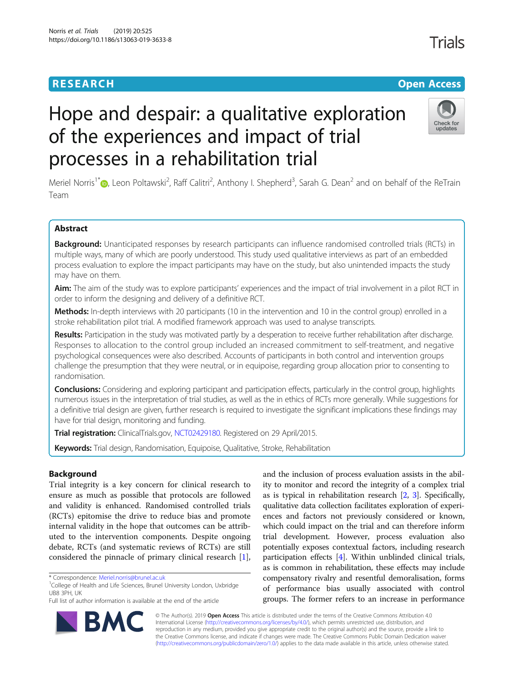# **RESEARCH CHEAR CHEAR CHEAR CHEAR CHEAR CHEAR CHEAR CHEAR CHEAR CHEAR CHEAR CHEAR CHEAR CHEAR CHEAR CHEAR CHEAR**

# Hope and despair: a qualitative exploration of the experiences and impact of trial processes in a rehabilitation trial

Meriel Norris<sup>1[\\*](http://orcid.org/0000-0001-7779-5612)</sup> D, Leon Poltawski<sup>2</sup>, Raff Calitri<sup>2</sup>, Anthony I. Shepherd<sup>3</sup>, Sarah G. Dean<sup>2</sup> and on behalf of the ReTrain Team

# Abstract

Background: Unanticipated responses by research participants can influence randomised controlled trials (RCTs) in multiple ways, many of which are poorly understood. This study used qualitative interviews as part of an embedded process evaluation to explore the impact participants may have on the study, but also unintended impacts the study may have on them.

Aim: The aim of the study was to explore participants' experiences and the impact of trial involvement in a pilot RCT in order to inform the designing and delivery of a definitive RCT.

Methods: In-depth interviews with 20 participants (10 in the intervention and 10 in the control group) enrolled in a stroke rehabilitation pilot trial. A modified framework approach was used to analyse transcripts.

Results: Participation in the study was motivated partly by a desperation to receive further rehabilitation after discharge. Responses to allocation to the control group included an increased commitment to self-treatment, and negative psychological consequences were also described. Accounts of participants in both control and intervention groups challenge the presumption that they were neutral, or in equipoise, regarding group allocation prior to consenting to randomisation.

Conclusions: Considering and exploring participant and participation effects, particularly in the control group, highlights numerous issues in the interpretation of trial studies, as well as the in ethics of RCTs more generally. While suggestions for a definitive trial design are given, further research is required to investigate the significant implications these findings may have for trial design, monitoring and funding.

Trial registration: ClinicalTrials.gov, [NCT02429180.](https://clinicaltrials.gov/ct2/results?cond=stroke&term=dean&cntry=GB&state=&city=&dist=) Registered on 29 April/2015.

Keywords: Trial design, Randomisation, Equipoise, Qualitative, Stroke, Rehabilitation

# Background

Trial integrity is a key concern for clinical research to ensure as much as possible that protocols are followed and validity is enhanced. Randomised controlled trials (RCTs) epitomise the drive to reduce bias and promote internal validity in the hope that outcomes can be attributed to the intervention components. Despite ongoing debate, RCTs (and systematic reviews of RCTs) are still considered the pinnacle of primary clinical research [\[1](#page-9-0)],

 $1$ College of Health and Life Sciences, Brunel University London, Uxbridge UB8 3PH, UK

and the inclusion of process evaluation assists in the ability to monitor and record the integrity of a complex trial as is typical in rehabilitation research [\[2,](#page-9-0) [3\]](#page-9-0). Specifically, qualitative data collection facilitates exploration of experiences and factors not previously considered or known, which could impact on the trial and can therefore inform trial development. However, process evaluation also potentially exposes contextual factors, including research participation effects [\[4](#page-9-0)]. Within unblinded clinical trials, as is common in rehabilitation, these effects may include compensatory rivalry and resentful demoralisation, forms of performance bias usually associated with control groups. The former refers to an increase in performance

© The Author(s). 2019 **Open Access** This article is distributed under the terms of the Creative Commons Attribution 4.0 International License [\(http://creativecommons.org/licenses/by/4.0/](http://creativecommons.org/licenses/by/4.0/)), which permits unrestricted use, distribution, and reproduction in any medium, provided you give appropriate credit to the original author(s) and the source, provide a link to the Creative Commons license, and indicate if changes were made. The Creative Commons Public Domain Dedication waiver [\(http://creativecommons.org/publicdomain/zero/1.0/](http://creativecommons.org/publicdomain/zero/1.0/)) applies to the data made available in this article, unless otherwise stated.

Check for undates



<sup>\*</sup> Correspondence: [Meriel.norris@brunel.ac.uk](mailto:Meriel.norris@brunel.ac.uk) <sup>1</sup>

Full list of author information is available at the end of the article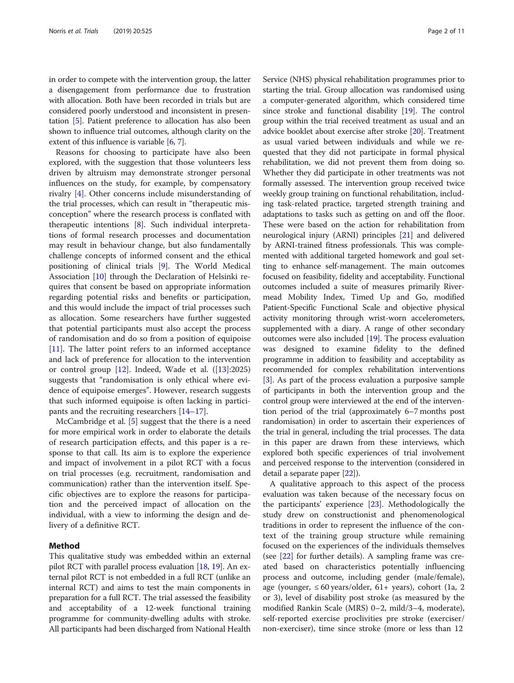in order to compete with the intervention group, the latter a disengagement from performance due to frustration with allocation. Both have been recorded in trials but are considered poorly understood and inconsistent in presentation [\[5](#page-9-0)]. Patient preference to allocation has also been shown to influence trial outcomes, although clarity on the extent of this influence is variable [\[6](#page-9-0), [7\]](#page-9-0).

Reasons for choosing to participate have also been explored, with the suggestion that those volunteers less driven by altruism may demonstrate stronger personal influences on the study, for example, by compensatory rivalry [\[4](#page-9-0)]. Other concerns include misunderstanding of the trial processes, which can result in "therapeutic misconception" where the research process is conflated with therapeutic intentions [[8\]](#page-9-0). Such individual interpretations of formal research processes and documentation may result in behaviour change, but also fundamentally challenge concepts of informed consent and the ethical positioning of clinical trials [[9\]](#page-9-0). The World Medical Association [[10](#page-9-0)] through the Declaration of Helsinki requires that consent be based on appropriate information regarding potential risks and benefits or participation, and this would include the impact of trial processes such as allocation. Some researchers have further suggested that potential participants must also accept the process of randomisation and do so from a position of equipoise  $[11]$  $[11]$ . The latter point refers to an informed acceptance and lack of preference for allocation to the intervention or control group  $[12]$  $[12]$  $[12]$ . Indeed, Wade et al.  $([13]:2025)$  $([13]:2025)$  $([13]:2025)$ suggests that "randomisation is only ethical where evidence of equipoise emerges". However, research suggests that such informed equipoise is often lacking in participants and the recruiting researchers [\[14](#page-9-0)–[17\]](#page-10-0).

McCambridge et al. [[5\]](#page-9-0) suggest that the there is a need for more empirical work in order to elaborate the details of research participation effects, and this paper is a response to that call. Its aim is to explore the experience and impact of involvement in a pilot RCT with a focus on trial processes (e.g. recruitment, randomisation and communication) rather than the intervention itself. Specific objectives are to explore the reasons for participation and the perceived impact of allocation on the individual, with a view to informing the design and delivery of a definitive RCT.

# Method

This qualitative study was embedded within an external pilot RCT with parallel process evaluation [[18,](#page-10-0) [19\]](#page-10-0). An external pilot RCT is not embedded in a full RCT (unlike an internal RCT) and aims to test the main components in preparation for a full RCT. The trial assessed the feasibility and acceptability of a 12-week functional training programme for community-dwelling adults with stroke. All participants had been discharged from National Health Service (NHS) physical rehabilitation programmes prior to starting the trial. Group allocation was randomised using a computer-generated algorithm, which considered time since stroke and functional disability [[19](#page-10-0)]. The control group within the trial received treatment as usual and an advice booklet about exercise after stroke [\[20\]](#page-10-0). Treatment as usual varied between individuals and while we requested that they did not participate in formal physical rehabilitation, we did not prevent them from doing so. Whether they did participate in other treatments was not formally assessed. The intervention group received twice weekly group training on functional rehabilitation, including task-related practice, targeted strength training and adaptations to tasks such as getting on and off the floor. These were based on the action for rehabilitation from neurological injury (ARNI) principles [\[21\]](#page-10-0) and delivered by ARNI-trained fitness professionals. This was complemented with additional targeted homework and goal setting to enhance self-management. The main outcomes focused on feasibility, fidelity and acceptability. Functional outcomes included a suite of measures primarily Rivermead Mobility Index, Timed Up and Go, modified Patient-Specific Functional Scale and objective physical activity monitoring through wrist-worn accelerometers, supplemented with a diary. A range of other secondary outcomes were also included [[19](#page-10-0)]. The process evaluation was designed to examine fidelity to the defined programme in addition to feasibility and acceptability as recommended for complex rehabilitation interventions [[3\]](#page-9-0). As part of the process evaluation a purposive sample of participants in both the intervention group and the control group were interviewed at the end of the intervention period of the trial (approximately 6–7 months post randomisation) in order to ascertain their experiences of the trial in general, including the trial processes. The data in this paper are drawn from these interviews, which explored both specific experiences of trial involvement and perceived response to the intervention (considered in detail a separate paper [[22](#page-10-0)]).

A qualitative approach to this aspect of the process evaluation was taken because of the necessary focus on the participants' experience [[23](#page-10-0)]. Methodologically the study drew on constructionist and phenomenological traditions in order to represent the influence of the context of the training group structure while remaining focused on the experiences of the individuals themselves (see [\[22](#page-10-0)] for further details). A sampling frame was created based on characteristics potentially influencing process and outcome, including gender (male/female), age (younger,  $\leq 60$  years/older, 61+ years), cohort (1a, 2 or 3), level of disability post stroke (as measured by the modified Rankin Scale (MRS) 0–2, mild/3–4, moderate), self-reported exercise proclivities pre stroke (exerciser/ non-exerciser), time since stroke (more or less than 12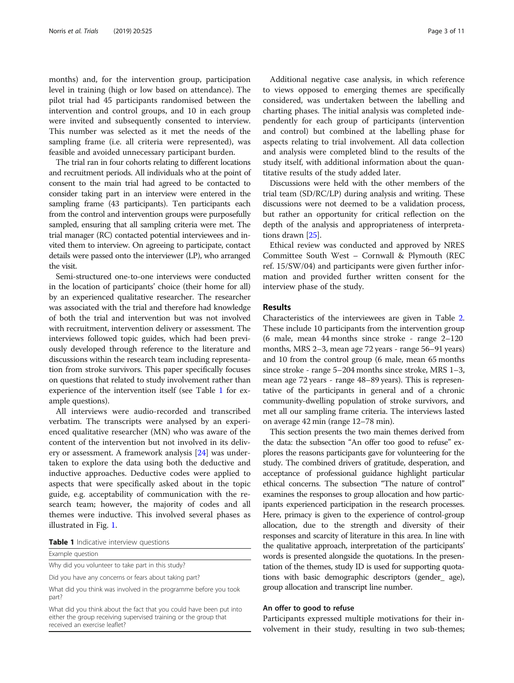months) and, for the intervention group, participation level in training (high or low based on attendance). The pilot trial had 45 participants randomised between the intervention and control groups, and 10 in each group were invited and subsequently consented to interview. This number was selected as it met the needs of the sampling frame (i.e. all criteria were represented), was feasible and avoided unnecessary participant burden.

The trial ran in four cohorts relating to different locations and recruitment periods. All individuals who at the point of consent to the main trial had agreed to be contacted to consider taking part in an interview were entered in the sampling frame (43 participants). Ten participants each from the control and intervention groups were purposefully sampled, ensuring that all sampling criteria were met. The trial manager (RC) contacted potential interviewees and invited them to interview. On agreeing to participate, contact details were passed onto the interviewer (LP), who arranged the visit.

Semi-structured one-to-one interviews were conducted in the location of participants' choice (their home for all) by an experienced qualitative researcher. The researcher was associated with the trial and therefore had knowledge of both the trial and intervention but was not involved with recruitment, intervention delivery or assessment. The interviews followed topic guides, which had been previously developed through reference to the literature and discussions within the research team including representation from stroke survivors. This paper specifically focuses on questions that related to study involvement rather than experience of the intervention itself (see Table 1 for example questions).

All interviews were audio-recorded and transcribed verbatim. The transcripts were analysed by an experienced qualitative researcher (MN) who was aware of the content of the intervention but not involved in its delivery or assessment. A framework analysis [[24\]](#page-10-0) was undertaken to explore the data using both the deductive and inductive approaches. Deductive codes were applied to aspects that were specifically asked about in the topic guide, e.g. acceptability of communication with the research team; however, the majority of codes and all themes were inductive. This involved several phases as illustrated in Fig. [1.](#page-3-0)

Table 1 Indicative interview questions

| Example question |  |  |
|------------------|--|--|
|------------------|--|--|

Why did you volunteer to take part in this study?

Did you have any concerns or fears about taking part?

Additional negative case analysis, in which reference to views opposed to emerging themes are specifically considered, was undertaken between the labelling and charting phases. The initial analysis was completed independently for each group of participants (intervention and control) but combined at the labelling phase for aspects relating to trial involvement. All data collection and analysis were completed blind to the results of the study itself, with additional information about the quantitative results of the study added later.

Discussions were held with the other members of the trial team (SD/RC/LP) during analysis and writing. These discussions were not deemed to be a validation process, but rather an opportunity for critical reflection on the depth of the analysis and appropriateness of interpretations drawn [[25](#page-10-0)].

Ethical review was conducted and approved by NRES Committee South West – Cornwall & Plymouth (REC ref. 15/SW/04) and participants were given further information and provided further written consent for the interview phase of the study.

#### Results

Characteristics of the interviewees are given in Table [2](#page-3-0). These include 10 participants from the intervention group (6 male, mean 44 months since stroke - range 2–120 months, MRS 2–3, mean age 72 years - range 56–91 years) and 10 from the control group (6 male, mean 65 months since stroke - range 5–204 months since stroke, MRS 1–3, mean age 72 years - range 48–89 years). This is representative of the participants in general and of a chronic community-dwelling population of stroke survivors, and met all our sampling frame criteria. The interviews lasted on average 42 min (range 12–78 min).

This section presents the two main themes derived from the data: the subsection "An offer too good to refuse" explores the reasons participants gave for volunteering for the study. The combined drivers of gratitude, desperation, and acceptance of professional guidance highlight particular ethical concerns. The subsection "The nature of control" examines the responses to group allocation and how participants experienced participation in the research processes. Here, primacy is given to the experience of control-group allocation, due to the strength and diversity of their responses and scarcity of literature in this area. In line with the qualitative approach, interpretation of the participants' words is presented alongside the quotations. In the presentation of the themes, study ID is used for supporting quotations with basic demographic descriptors (gender\_ age), group allocation and transcript line number.

#### An offer to good to refuse

Participants expressed multiple motivations for their involvement in their study, resulting in two sub-themes;

What did you think was involved in the programme before you took part?

What did you think about the fact that you could have been put into either the group receiving supervised training or the group that received an exercise leaflet?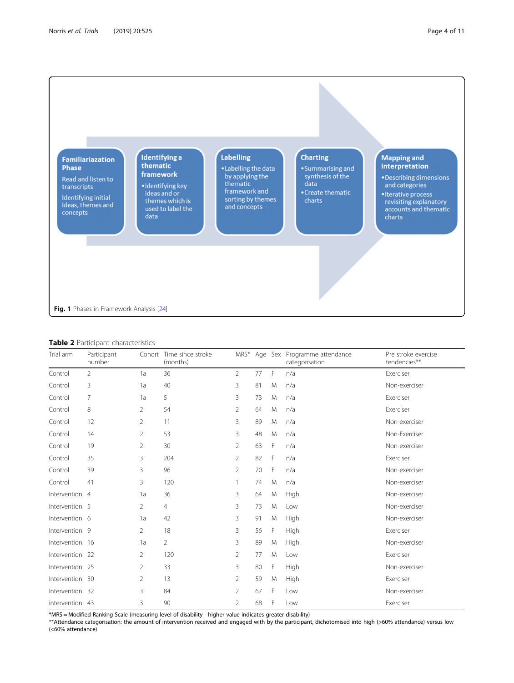<span id="page-3-0"></span>

#### Table 2 Participant characteristics

| Trial arm       | Participant<br>number |                | Cohort Time since stroke<br>(months) | $MRS^*$        |    |   | Age Sex Programme attendance<br>categorisation | Pre stroke exercise<br>tendencies** |
|-----------------|-----------------------|----------------|--------------------------------------|----------------|----|---|------------------------------------------------|-------------------------------------|
| Control         | $\overline{2}$        | 1a             | 36                                   | $\overline{2}$ | 77 | F | n/a                                            | Exerciser                           |
| Control         | 3                     | 1a             | 40                                   | 3              | 81 | M | n/a                                            | Non-exerciser                       |
| Control         | 7                     | 1a             | 5                                    | 3              | 73 | M | n/a                                            | Exerciser                           |
| Control         | 8                     | 2              | 54                                   | 2              | 64 | M | n/a                                            | Exerciser                           |
| Control         | 12                    | 2              | 11                                   | 3              | 89 | M | n/a                                            | Non-exerciser                       |
| Control         | 14                    | 2              | 53                                   | 3              | 48 | M | n/a                                            | Non-Exerciser                       |
| Control         | 19                    | 2              | 30                                   | $\overline{2}$ | 63 | F | n/a                                            | Non-exerciser                       |
| Control         | 35                    | 3              | 204                                  | $\overline{2}$ | 82 | F | n/a                                            | Exerciser                           |
| Control         | 39                    | 3              | 96                                   | $\overline{2}$ | 70 | F | n/a                                            | Non-exerciser                       |
| Control         | 41                    | 3              | 120                                  | $\mathbf{1}$   | 74 | M | n/a                                            | Non-exerciser                       |
| Intervention 4  |                       | 1a             | 36                                   | 3              | 64 | M | High                                           | Non-exerciser                       |
| Intervention 5  |                       | 2              | 4                                    | 3              | 73 | M | Low                                            | Non-exerciser                       |
| Intervention 6  |                       | 1a             | 42                                   | 3              | 91 | M | High                                           | Non-exerciser                       |
| Intervention 9  |                       | $\overline{2}$ | 18                                   | 3              | 56 | F | High                                           | Exerciser                           |
| Intervention 16 |                       | 1a             | $\overline{2}$                       | 3              | 89 | M | High                                           | Non-exerciser                       |
| Intervention 22 |                       | 2              | 120                                  | 2              | 77 | M | Low                                            | Exerciser                           |
| Intervention 25 |                       | 2              | 33                                   | 3              | 80 | F | High                                           | Non-exerciser                       |
| Intervention 30 |                       | 2              | 13                                   | 2              | 59 | M | High                                           | Exerciser                           |
| Intervention 32 |                       | 3              | 84                                   | 2              | 67 | F | Low                                            | Non-exerciser                       |
| intervention 43 |                       | 3              | 90                                   | 2              | 68 | F | Low                                            | Exerciser                           |

\*MRS = Modified Ranking Scale (measuring level of disability - higher value indicates greater disability)

\*\*Attendance categorisation: the amount of intervention received and engaged with by the participant, dichotomised into high (>60% attendance) versus low (<60% attendance)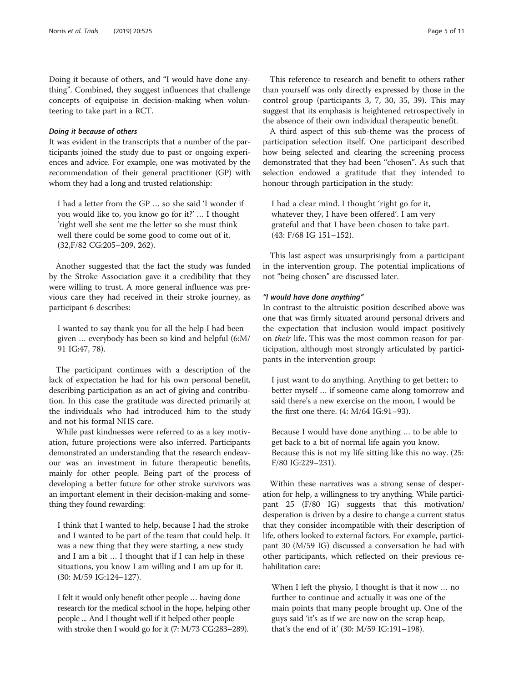Doing it because of others, and "I would have done anything". Combined, they suggest influences that challenge concepts of equipoise in decision-making when volunteering to take part in a RCT.

#### Doing it because of others

It was evident in the transcripts that a number of the participants joined the study due to past or ongoing experiences and advice. For example, one was motivated by the recommendation of their general practitioner (GP) with whom they had a long and trusted relationship:

I had a letter from the GP … so she said 'I wonder if you would like to, you know go for it?' … I thought 'right well she sent me the letter so she must think well there could be some good to come out of it. (32,F/82 CG:205–209, 262).

Another suggested that the fact the study was funded by the Stroke Association gave it a credibility that they were willing to trust. A more general influence was previous care they had received in their stroke journey, as participant 6 describes:

I wanted to say thank you for all the help I had been given … everybody has been so kind and helpful (6:M/ 91 IG:47, 78).

The participant continues with a description of the lack of expectation he had for his own personal benefit, describing participation as an act of giving and contribution. In this case the gratitude was directed primarily at the individuals who had introduced him to the study and not his formal NHS care.

While past kindnesses were referred to as a key motivation, future projections were also inferred. Participants demonstrated an understanding that the research endeavour was an investment in future therapeutic benefits, mainly for other people. Being part of the process of developing a better future for other stroke survivors was an important element in their decision-making and something they found rewarding:

I think that I wanted to help, because I had the stroke and I wanted to be part of the team that could help. It was a new thing that they were starting, a new study and I am a bit … I thought that if I can help in these situations, you know I am willing and I am up for it. (30: M/59 IG:124–127).

I felt it would only benefit other people … having done research for the medical school in the hope, helping other people ... And I thought well if it helped other people with stroke then I would go for it (7: M/73 CG:283–289).

This reference to research and benefit to others rather than yourself was only directly expressed by those in the control group (participants 3, 7, 30, 35, 39). This may suggest that its emphasis is heightened retrospectively in the absence of their own individual therapeutic benefit.

A third aspect of this sub-theme was the process of participation selection itself. One participant described how being selected and clearing the screening process demonstrated that they had been "chosen". As such that selection endowed a gratitude that they intended to honour through participation in the study:

I had a clear mind. I thought 'right go for it, whatever they, I have been offered'. I am very grateful and that I have been chosen to take part. (43: F/68 IG 151–152).

This last aspect was unsurprisingly from a participant in the intervention group. The potential implications of not "being chosen" are discussed later.

#### "I would have done anything"

In contrast to the altruistic position described above was one that was firmly situated around personal drivers and the expectation that inclusion would impact positively on their life. This was the most common reason for participation, although most strongly articulated by participants in the intervention group:

I just want to do anything. Anything to get better; to better myself … if someone came along tomorrow and said there's a new exercise on the moon, I would be the first one there. (4: M/64 IG:91–93).

Because I would have done anything … to be able to get back to a bit of normal life again you know. Because this is not my life sitting like this no way. (25: F/80 IG:229–231).

Within these narratives was a strong sense of desperation for help, a willingness to try anything. While participant 25 (F/80 IG) suggests that this motivation/ desperation is driven by a desire to change a current status that they consider incompatible with their description of life, others looked to external factors. For example, participant 30 (M/59 IG) discussed a conversation he had with other participants, which reflected on their previous rehabilitation care:

When I left the physio, I thought is that it now … no further to continue and actually it was one of the main points that many people brought up. One of the guys said 'it's as if we are now on the scrap heap, that's the end of it' (30: M/59 IG:191–198).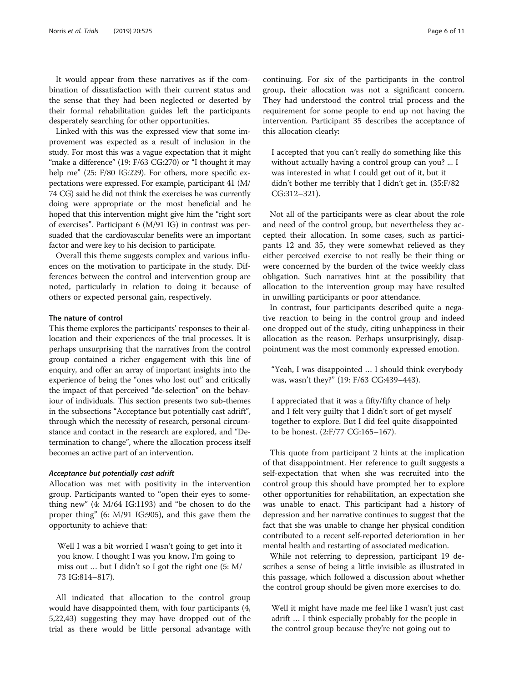It would appear from these narratives as if the combination of dissatisfaction with their current status and the sense that they had been neglected or deserted by their formal rehabilitation guides left the participants desperately searching for other opportunities.

Linked with this was the expressed view that some improvement was expected as a result of inclusion in the study. For most this was a vague expectation that it might "make a difference" (19: F/63 CG:270) or "I thought it may help me" (25: F/80 IG:229). For others, more specific expectations were expressed. For example, participant 41 (M/ 74 CG) said he did not think the exercises he was currently doing were appropriate or the most beneficial and he hoped that this intervention might give him the "right sort of exercises". Participant 6 (M/91 IG) in contrast was persuaded that the cardiovascular benefits were an important factor and were key to his decision to participate.

Overall this theme suggests complex and various influences on the motivation to participate in the study. Differences between the control and intervention group are noted, particularly in relation to doing it because of others or expected personal gain, respectively.

#### The nature of control

This theme explores the participants' responses to their allocation and their experiences of the trial processes. It is perhaps unsurprising that the narratives from the control group contained a richer engagement with this line of enquiry, and offer an array of important insights into the experience of being the "ones who lost out" and critically the impact of that perceived "de-selection" on the behaviour of individuals. This section presents two sub-themes in the subsections "Acceptance but potentially cast adrift", through which the necessity of research, personal circumstance and contact in the research are explored, and "Determination to change", where the allocation process itself becomes an active part of an intervention.

#### Acceptance but potentially cast adrift

Allocation was met with positivity in the intervention group. Participants wanted to "open their eyes to something new" (4: M/64 IG:1193) and "be chosen to do the proper thing" (6: M/91 IG:905), and this gave them the opportunity to achieve that:

Well I was a bit worried I wasn't going to get into it you know. I thought I was you know, I'm going to miss out … but I didn't so I got the right one (5: M/ 73 IG:814–817).

All indicated that allocation to the control group would have disappointed them, with four participants (4, 5,22,43) suggesting they may have dropped out of the trial as there would be little personal advantage with continuing. For six of the participants in the control group, their allocation was not a significant concern. They had understood the control trial process and the requirement for some people to end up not having the intervention. Participant 35 describes the acceptance of this allocation clearly:

I accepted that you can't really do something like this without actually having a control group can you? ... I was interested in what I could get out of it, but it didn't bother me terribly that I didn't get in. (35:F/82 CG:312–321).

Not all of the participants were as clear about the role and need of the control group, but nevertheless they accepted their allocation. In some cases, such as participants 12 and 35, they were somewhat relieved as they either perceived exercise to not really be their thing or were concerned by the burden of the twice weekly class obligation. Such narratives hint at the possibility that allocation to the intervention group may have resulted in unwilling participants or poor attendance.

In contrast, four participants described quite a negative reaction to being in the control group and indeed one dropped out of the study, citing unhappiness in their allocation as the reason. Perhaps unsurprisingly, disappointment was the most commonly expressed emotion.

"Yeah, I was disappointed … I should think everybody was, wasn't they?" (19: F/63 CG:439–443).

I appreciated that it was a fifty/fifty chance of help and I felt very guilty that I didn't sort of get myself together to explore. But I did feel quite disappointed to be honest. (2:F/77 CG:165–167).

This quote from participant 2 hints at the implication of that disappointment. Her reference to guilt suggests a self-expectation that when she was recruited into the control group this should have prompted her to explore other opportunities for rehabilitation, an expectation she was unable to enact. This participant had a history of depression and her narrative continues to suggest that the fact that she was unable to change her physical condition contributed to a recent self-reported deterioration in her mental health and restarting of associated medication.

While not referring to depression, participant 19 describes a sense of being a little invisible as illustrated in this passage, which followed a discussion about whether the control group should be given more exercises to do.

Well it might have made me feel like I wasn't just cast adrift … I think especially probably for the people in the control group because they're not going out to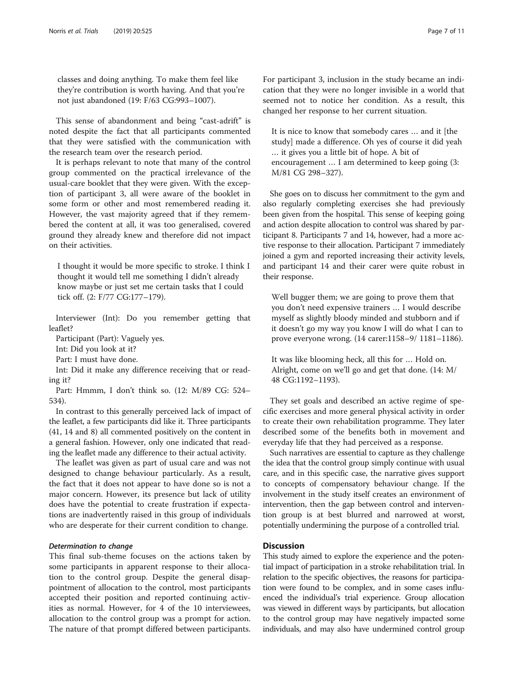classes and doing anything. To make them feel like they're contribution is worth having. And that you're not just abandoned (19: F/63 CG:993–1007).

This sense of abandonment and being "cast-adrift" is noted despite the fact that all participants commented that they were satisfied with the communication with the research team over the research period.

It is perhaps relevant to note that many of the control group commented on the practical irrelevance of the usual-care booklet that they were given. With the exception of participant 3, all were aware of the booklet in some form or other and most remembered reading it. However, the vast majority agreed that if they remembered the content at all, it was too generalised, covered ground they already knew and therefore did not impact on their activities.

I thought it would be more specific to stroke. I think I thought it would tell me something I didn't already know maybe or just set me certain tasks that I could tick off. (2: F/77 CG:177–179).

Interviewer (Int): Do you remember getting that leaflet?

Participant (Part): Vaguely yes.

Int: Did you look at it?

Part: I must have done.

Int: Did it make any difference receiving that or reading it?

Part: Hmmm, I don't think so. (12: M/89 CG: 524– 534).

In contrast to this generally perceived lack of impact of the leaflet, a few participants did like it. Three participants (41, 14 and 8) all commented positively on the content in a general fashion. However, only one indicated that reading the leaflet made any difference to their actual activity.

The leaflet was given as part of usual care and was not designed to change behaviour particularly. As a result, the fact that it does not appear to have done so is not a major concern. However, its presence but lack of utility does have the potential to create frustration if expectations are inadvertently raised in this group of individuals who are desperate for their current condition to change.

# Determination to change

This final sub-theme focuses on the actions taken by some participants in apparent response to their allocation to the control group. Despite the general disappointment of allocation to the control, most participants accepted their position and reported continuing activities as normal. However, for 4 of the 10 interviewees, allocation to the control group was a prompt for action. The nature of that prompt differed between participants. For participant 3, inclusion in the study became an indication that they were no longer invisible in a world that seemed not to notice her condition. As a result, this changed her response to her current situation.

It is nice to know that somebody cares … and it [the study] made a difference. Oh yes of course it did yeah … it gives you a little bit of hope. A bit of encouragement … I am determined to keep going (3: M/81 CG 298–327).

She goes on to discuss her commitment to the gym and also regularly completing exercises she had previously been given from the hospital. This sense of keeping going and action despite allocation to control was shared by participant 8. Participants 7 and 14, however, had a more active response to their allocation. Participant 7 immediately joined a gym and reported increasing their activity levels, and participant 14 and their carer were quite robust in their response.

Well bugger them; we are going to prove them that you don't need expensive trainers … I would describe myself as slightly bloody minded and stubborn and if it doesn't go my way you know I will do what I can to prove everyone wrong. (14 carer:1158–9/ 1181–1186).

It was like blooming heck, all this for … Hold on. Alright, come on we'll go and get that done. (14: M/ 48 CG:1192–1193).

They set goals and described an active regime of specific exercises and more general physical activity in order to create their own rehabilitation programme. They later described some of the benefits both in movement and everyday life that they had perceived as a response.

Such narratives are essential to capture as they challenge the idea that the control group simply continue with usual care, and in this specific case, the narrative gives support to concepts of compensatory behaviour change. If the involvement in the study itself creates an environment of intervention, then the gap between control and intervention group is at best blurred and narrowed at worst, potentially undermining the purpose of a controlled trial.

# **Discussion**

This study aimed to explore the experience and the potential impact of participation in a stroke rehabilitation trial. In relation to the specific objectives, the reasons for participation were found to be complex, and in some cases influenced the individual's trial experience. Group allocation was viewed in different ways by participants, but allocation to the control group may have negatively impacted some individuals, and may also have undermined control group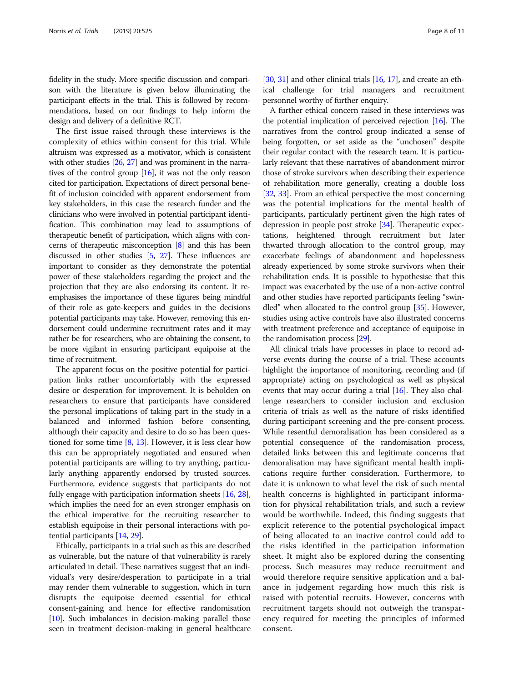fidelity in the study. More specific discussion and comparison with the literature is given below illuminating the participant effects in the trial. This is followed by recommendations, based on our findings to help inform the design and delivery of a definitive RCT.

The first issue raised through these interviews is the complexity of ethics within consent for this trial. While altruism was expressed as a motivator, which is consistent with other studies [[26](#page-10-0), [27](#page-10-0)] and was prominent in the narratives of the control group [\[16\]](#page-9-0), it was not the only reason cited for participation. Expectations of direct personal benefit of inclusion coincided with apparent endorsement from key stakeholders, in this case the research funder and the clinicians who were involved in potential participant identification. This combination may lead to assumptions of therapeutic benefit of participation, which aligns with concerns of therapeutic misconception [\[8\]](#page-9-0) and this has been discussed in other studies [\[5,](#page-9-0) [27\]](#page-10-0). These influences are important to consider as they demonstrate the potential power of these stakeholders regarding the project and the projection that they are also endorsing its content. It reemphasises the importance of these figures being mindful of their role as gate-keepers and guides in the decisions potential participants may take. However, removing this endorsement could undermine recruitment rates and it may rather be for researchers, who are obtaining the consent, to be more vigilant in ensuring participant equipoise at the time of recruitment.

The apparent focus on the positive potential for participation links rather uncomfortably with the expressed desire or desperation for improvement. It is beholden on researchers to ensure that participants have considered the personal implications of taking part in the study in a balanced and informed fashion before consenting, although their capacity and desire to do so has been questioned for some time [[8,](#page-9-0) [13](#page-9-0)]. However, it is less clear how this can be appropriately negotiated and ensured when potential participants are willing to try anything, particularly anything apparently endorsed by trusted sources. Furthermore, evidence suggests that participants do not fully engage with participation information sheets [\[16,](#page-9-0) [28](#page-10-0)], which implies the need for an even stronger emphasis on the ethical imperative for the recruiting researcher to establish equipoise in their personal interactions with potential participants [\[14,](#page-9-0) [29\]](#page-10-0).

Ethically, participants in a trial such as this are described as vulnerable, but the nature of that vulnerability is rarely articulated in detail. These narratives suggest that an individual's very desire/desperation to participate in a trial may render them vulnerable to suggestion, which in turn disrupts the equipoise deemed essential for ethical consent-gaining and hence for effective randomisation [[10](#page-9-0)]. Such imbalances in decision-making parallel those seen in treatment decision-making in general healthcare

[[30](#page-10-0), [31\]](#page-10-0) and other clinical trials [[16](#page-9-0), [17\]](#page-10-0), and create an ethical challenge for trial managers and recruitment personnel worthy of further enquiry.

A further ethical concern raised in these interviews was the potential implication of perceived rejection [[16\]](#page-9-0). The narratives from the control group indicated a sense of being forgotten, or set aside as the "unchosen" despite their regular contact with the research team. It is particularly relevant that these narratives of abandonment mirror those of stroke survivors when describing their experience of rehabilitation more generally, creating a double loss [[32](#page-10-0), [33](#page-10-0)]. From an ethical perspective the most concerning was the potential implications for the mental health of participants, particularly pertinent given the high rates of depression in people post stroke [\[34](#page-10-0)]. Therapeutic expectations, heightened through recruitment but later thwarted through allocation to the control group, may exacerbate feelings of abandonment and hopelessness already experienced by some stroke survivors when their rehabilitation ends. It is possible to hypothesise that this impact was exacerbated by the use of a non-active control and other studies have reported participants feeling "swindled" when allocated to the control group [\[35\]](#page-10-0). However, studies using active controls have also illustrated concerns with treatment preference and acceptance of equipoise in the randomisation process [[29\]](#page-10-0).

All clinical trials have processes in place to record adverse events during the course of a trial. These accounts highlight the importance of monitoring, recording and (if appropriate) acting on psychological as well as physical events that may occur during a trial [\[16\]](#page-9-0). They also challenge researchers to consider inclusion and exclusion criteria of trials as well as the nature of risks identified during participant screening and the pre-consent process. While resentful demoralisation has been considered as a potential consequence of the randomisation process, detailed links between this and legitimate concerns that demoralisation may have significant mental health implications require further consideration. Furthermore, to date it is unknown to what level the risk of such mental health concerns is highlighted in participant information for physical rehabilitation trials, and such a review would be worthwhile. Indeed, this finding suggests that explicit reference to the potential psychological impact of being allocated to an inactive control could add to the risks identified in the participation information sheet. It might also be explored during the consenting process. Such measures may reduce recruitment and would therefore require sensitive application and a balance in judgement regarding how much this risk is raised with potential recruits. However, concerns with recruitment targets should not outweigh the transparency required for meeting the principles of informed consent.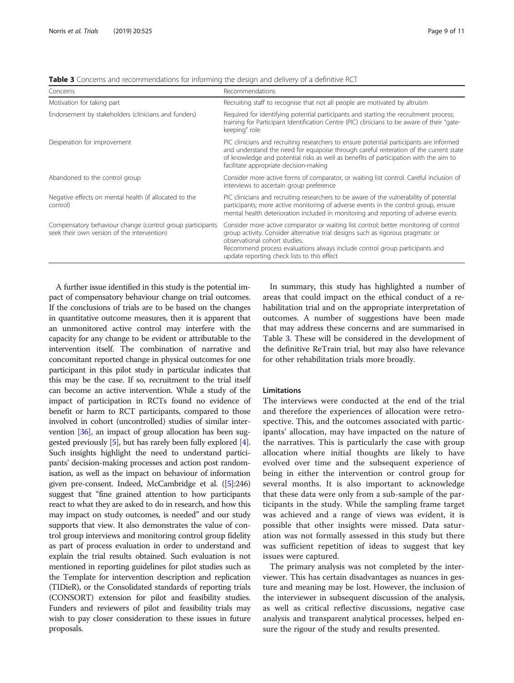| <b>Table 3</b> Concerns and recommendations for informing the design and delivery of a definitive RCT |  |  |  |
|-------------------------------------------------------------------------------------------------------|--|--|--|
|                                                                                                       |  |  |  |

| Concerns                                                                                                 | Recommendations                                                                                                                                                                                                                                                                                                                          |
|----------------------------------------------------------------------------------------------------------|------------------------------------------------------------------------------------------------------------------------------------------------------------------------------------------------------------------------------------------------------------------------------------------------------------------------------------------|
| Motivation for taking part                                                                               | Recruiting staff to recognise that not all people are motivated by altruism                                                                                                                                                                                                                                                              |
| Endorsement by stakeholders (clinicians and funders)                                                     | Required for identifying potential participants and starting the recruitment process;<br>training for Participant Identification Centre (PIC) clinicians to be aware of their "gate-<br>keeping" role                                                                                                                                    |
| Desperation for improvement                                                                              | PIC clinicians and recruiting researchers to ensure potential participants are informed<br>and understand the need for equipoise through careful reiteration of the current state<br>of knowledge and potential risks as well as benefits of participation with the aim to<br>facilitate appropriate decision-making                     |
| Abandoned to the control group                                                                           | Consider more active forms of comparator, or waiting list control. Careful inclusion of<br>interviews to ascertain group preference                                                                                                                                                                                                      |
| Negative effects on mental health (if allocated to the<br>control)                                       | PIC clinicians and recruiting researchers to be aware of the vulnerability of potential<br>participants; more active monitoring of adverse events in the control group, ensure<br>mental health deterioration included in monitoring and reporting of adverse events                                                                     |
| Compensatory behaviour change (control group participants<br>seek their own version of the intervention) | Consider more active comparator or waiting list control; better monitoring of control<br>group activity. Consider alternative trial designs such as rigorous pragmatic or<br>observational cohort studies.<br>Recommend process evaluations always include control group participants and<br>update reporting check lists to this effect |

A further issue identified in this study is the potential impact of compensatory behaviour change on trial outcomes. If the conclusions of trials are to be based on the changes in quantitative outcome measures, then it is apparent that an unmonitored active control may interfere with the capacity for any change to be evident or attributable to the intervention itself. The combination of narrative and concomitant reported change in physical outcomes for one participant in this pilot study in particular indicates that this may be the case. If so, recruitment to the trial itself can become an active intervention. While a study of the impact of participation in RCTs found no evidence of benefit or harm to RCT participants, compared to those involved in cohort (uncontrolled) studies of similar intervention [[36](#page-10-0)], an impact of group allocation has been suggested previously [\[5\]](#page-9-0), but has rarely been fully explored [[4](#page-9-0)]. Such insights highlight the need to understand participants' decision-making processes and action post randomisation, as well as the impact on behaviour of information given pre-consent. Indeed, McCambridge et al. ([\[5](#page-9-0)]:246) suggest that "fine grained attention to how participants react to what they are asked to do in research, and how this may impact on study outcomes, is needed" and our study supports that view. It also demonstrates the value of control group interviews and monitoring control group fidelity as part of process evaluation in order to understand and explain the trial results obtained. Such evaluation is not mentioned in reporting guidelines for pilot studies such as the Template for intervention description and replication (TIDieR), or the Consolidated standards of reporting trials (CONSORT) extension for pilot and feasibility studies. Funders and reviewers of pilot and feasibility trials may wish to pay closer consideration to these issues in future proposals.

In summary, this study has highlighted a number of areas that could impact on the ethical conduct of a rehabilitation trial and on the appropriate interpretation of outcomes. A number of suggestions have been made that may address these concerns and are summarised in Table 3. These will be considered in the development of the definitive ReTrain trial, but may also have relevance for other rehabilitation trials more broadly.

# Limitations

The interviews were conducted at the end of the trial and therefore the experiences of allocation were retrospective. This, and the outcomes associated with participants' allocation, may have impacted on the nature of the narratives. This is particularly the case with group allocation where initial thoughts are likely to have evolved over time and the subsequent experience of being in either the intervention or control group for several months. It is also important to acknowledge that these data were only from a sub-sample of the participants in the study. While the sampling frame target was achieved and a range of views was evident, it is possible that other insights were missed. Data saturation was not formally assessed in this study but there was sufficient repetition of ideas to suggest that key issues were captured.

The primary analysis was not completed by the interviewer. This has certain disadvantages as nuances in gesture and meaning may be lost. However, the inclusion of the interviewer in subsequent discussion of the analysis, as well as critical reflective discussions, negative case analysis and transparent analytical processes, helped ensure the rigour of the study and results presented.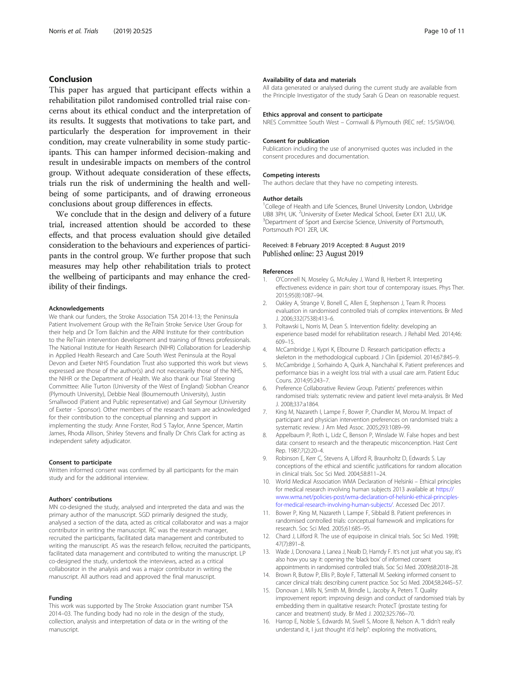### <span id="page-9-0"></span>Conclusion

This paper has argued that participant effects within a rehabilitation pilot randomised controlled trial raise concerns about its ethical conduct and the interpretation of its results. It suggests that motivations to take part, and particularly the desperation for improvement in their condition, may create vulnerability in some study participants. This can hamper informed decision-making and result in undesirable impacts on members of the control group. Without adequate consideration of these effects, trials run the risk of undermining the health and wellbeing of some participants, and of drawing erroneous conclusions about group differences in effects.

We conclude that in the design and delivery of a future trial, increased attention should be accorded to these effects, and that process evaluation should give detailed consideration to the behaviours and experiences of participants in the control group. We further propose that such measures may help other rehabilitation trials to protect the wellbeing of participants and may enhance the credibility of their findings.

#### Acknowledgements

We thank our funders, the Stroke Association TSA 2014-13; the Peninsula Patient Involvement Group with the ReTrain Stroke Service User Group for their help and Dr Tom Balchin and the ARNI Institute for their contribution to the ReTrain intervention development and training of fitness professionals. The National Institute for Health Research (NIHR) Collaboration for Leadership in Applied Health Research and Care South West Peninsula at the Royal Devon and Exeter NHS Foundation Trust also supported this work but views expressed are those of the author(s) and not necessarily those of the NHS, the NIHR or the Department of Health. We also thank our Trial Steering Committee: Ailie Turton (University of the West of England) Siobhan Creanor (Plymouth University), Debbie Neal (Bournemouth University), Justin Smallwood (Patient and Public representative) and Gail Seymour (University of Exeter - Sponsor). Other members of the research team are acknowledged for their contribution to the conceptual planning and support in implementing the study: Anne Forster, Rod S Taylor, Anne Spencer, Martin James, Rhoda Allison, Shirley Stevens and finally Dr Chris Clark for acting as independent safety adjudicator.

#### Consent to participate

Written informed consent was confirmed by all participants for the main study and for the additional interview.

#### Authors' contributions

MN co-designed the study, analysed and interpreted the data and was the primary author of the manuscript. SGD primarily designed the study, analysed a section of the data, acted as critical collaborator and was a major contributor in writing the manuscript. RC was the research manager, recruited the participants, facilitated data management and contributed to writing the manuscript. AS was the research fellow, recruited the participants, facilitated data management and contributed to writing the manuscript. LP co-designed the study, undertook the interviews, acted as a critical collaborator in the analysis and was a major contributor in writing the manuscript. All authors read and approved the final manuscript.

#### Funding

This work was supported by The Stroke Association grant number TSA 2014–03. The funding body had no role in the design of the study, collection, analysis and interpretation of data or in the writing of the manuscript.

#### Availability of data and materials

All data generated or analysed during the current study are available from the Principle Investigator of the study Sarah G Dean on reasonable request.

# Ethics approval and consent to participate

NRES Committee South West – Cornwall & Plymouth (REC ref.: 15/SW/04).

#### Consent for publication

Publication including the use of anonymised quotes was included in the consent procedures and documentation.

#### Competing interests

The authors declare that they have no competing interests.

#### Author details

<sup>1</sup>College of Health and Life Sciences, Brunel University London, Uxbridge UB8 3PH, UK. <sup>2</sup>University of Exeter Medical School, Exeter EX1 2LU, UK.<br><sup>3</sup>Department of Sport and Exercise Science University of Portsmouth <sup>3</sup>Department of Sport and Exercise Science, University of Portsmouth, Portsmouth PO1 2ER, UK.

#### Received: 8 February 2019 Accepted: 8 August 2019 Published online: 23 August 2019

#### References

- 1. O'Connell N, Moseley G, McAuley J, Wand B, Herbert R. Interpreting effectiveness evidence in pain: short tour of contemporary issues. Phys Ther. 2015;95(8):1087–94.
- 2. Oakley A, Strange V, Bonell C, Allen E, Stephenson J, Team R. Process evaluation in randomised controlled trials of complex interventions. Br Med J. 2006;332(7538):413–6.
- 3. Poltawski L, Norris M, Dean S. Intervention fidelity: developing an experience based model for rehabilitation research. J Rehabil Med. 2014;46: 609–15.
- 4. McCambridge J, Kypri K, Elbourne D. Research participation effects: a skeleton in the methodological cupboard. J Clin Epidemiol. 2014;67:845–9.
- 5. McCambridge J, Sorhaindo A, Quirk A, Nanchahal K. Patient preferences and performance bias in a weight loss trial with a usual care arm. Patient Educ Couns. 2014;95:243–7.
- 6. Preference Collaborative Review Group. Patients' preferences within randomised trials: systematic review and patient level meta-analysis. Br Med J. 2008;337:a1864.
- 7. King M, Nazareth I, Lampe F, Bower P, Chandler M, Morou M. Impact of participant and physician intervention preferences on randomised trials: a systematic review. J Am Med Assoc. 2005;293:1089–99.
- Appelbaum P, Roth L, Lidz C, Benson P, Winslade W. False hopes and best data: consent to research and the therapeutic misconcenption. Hast Cent Rep. 1987;7(2):20–4.
- 9. Robinson E, Kerr C, Stevens A, Lilford R, Braunholtz D, Edwards S. Lay conceptions of the ethical and scientific justifications for random allocation in clinical trials. Soc Sci Med. 2004;58:811–24.
- 10. World Medical Association WMA Declaration of Helsinki Ethical principles for medical research involving human subjects 2013 available at [https://](https://www.wma.net/POLICIES-POST/WMA-DECLARATION-OF-HELSINKI-ETHICAL-PRINCIPLES-FOR-MEDICAL-RESEARCH-INVOLVING-HUMAN-SUBJECTS/) [www.wma.net/policies-post/wma-declaration-of-helsinki-ethical-principles](https://www.wma.net/POLICIES-POST/WMA-DECLARATION-OF-HELSINKI-ETHICAL-PRINCIPLES-FOR-MEDICAL-RESEARCH-INVOLVING-HUMAN-SUBJECTS/)[for-medical-research-involving-human-subjects/](https://www.wma.net/POLICIES-POST/WMA-DECLARATION-OF-HELSINKI-ETHICAL-PRINCIPLES-FOR-MEDICAL-RESEARCH-INVOLVING-HUMAN-SUBJECTS/). Accessed Dec 2017.
- 11. Bower P, King M, Nazareth I, Lampe F, Sibbald B. Patient preferences in randomised controlled trials: conceptual framework and implications for research. Soc Sci Med. 2005;61:685–95.
- 12. Chard J, Lilford R. The use of equipoise in clinical trials. Soc Sci Med. 1998; 47(7):891–8.
- 13. Wade J, Donovana J, Lanea J, Nealb D, Hamdy F. It's not just what you say, it's also how you say it: opening the 'black box' of informed consent appointments in randomised controlled trials. Soc Sci Med. 2009;68:2018–28.
- 14. Brown R, Butow P, Ellis P, Boyle F, Tattersall M. Seeking informed consent to cancer clinical trials: describing current practice. Soc Sci Med. 2004;58:2445–57.
- 15. Donovan J, Mills N, Smith M, Brindle L, Jacoby A, Peters T. Quality improvement report: improving design and conduct of randomised trials by embedding them in qualitative research: ProtecT (prostate testing for cancer and treatment) study. Br Med J. 2002;325:766–70.
- 16. Harrop E, Noble S, Edwards M, Sivell S, Moore B, Nelson A. "I didn't really understand it, I just thought it'd help": exploring the motivations,